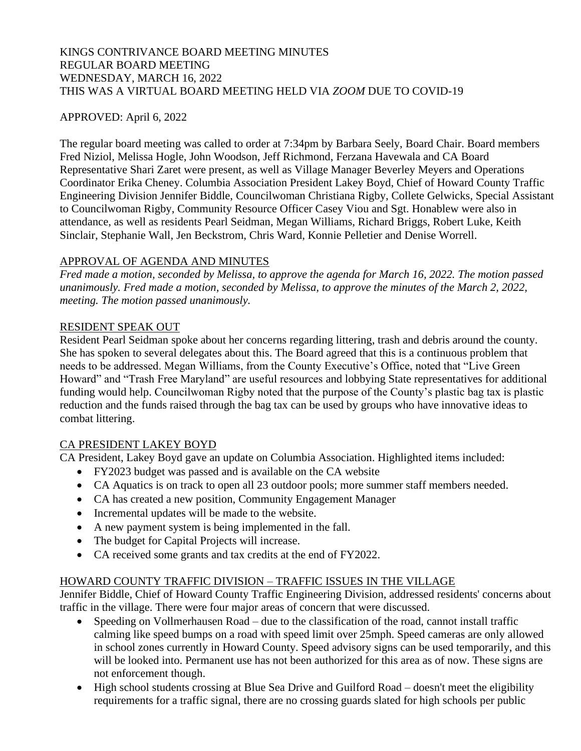## KINGS CONTRIVANCE BOARD MEETING MINUTES REGULAR BOARD MEETING WEDNESDAY, MARCH 16, 2022 THIS WAS A VIRTUAL BOARD MEETING HELD VIA *ZOOM* DUE TO COVID-19

## APPROVED: April 6, 2022

The regular board meeting was called to order at 7:34pm by Barbara Seely, Board Chair. Board members Fred Niziol, Melissa Hogle, John Woodson, Jeff Richmond, Ferzana Havewala and CA Board Representative Shari Zaret were present, as well as Village Manager Beverley Meyers and Operations Coordinator Erika Cheney. Columbia Association President Lakey Boyd, Chief of Howard County Traffic Engineering Division Jennifer Biddle, Councilwoman Christiana Rigby, Collete Gelwicks, Special Assistant to Councilwoman Rigby, Community Resource Officer Casey Viou and Sgt. Honablew were also in attendance, as well as residents Pearl Seidman, Megan Williams, Richard Briggs, Robert Luke, Keith Sinclair, Stephanie Wall, Jen Beckstrom, Chris Ward, Konnie Pelletier and Denise Worrell.

## APPROVAL OF AGENDA AND MINUTES

*Fred made a motion, seconded by Melissa, to approve the agenda for March 16, 2022. The motion passed unanimously. Fred made a motion, seconded by Melissa, to approve the minutes of the March 2, 2022, meeting. The motion passed unanimously.*

## RESIDENT SPEAK OUT

Resident Pearl Seidman spoke about her concerns regarding littering, trash and debris around the county. She has spoken to several delegates about this. The Board agreed that this is a continuous problem that needs to be addressed. Megan Williams, from the County Executive's Office, noted that "Live Green Howard" and "Trash Free Maryland" are useful resources and lobbying State representatives for additional funding would help. Councilwoman Rigby noted that the purpose of the County's plastic bag tax is plastic reduction and the funds raised through the bag tax can be used by groups who have innovative ideas to combat littering.

## CA PRESIDENT LAKEY BOYD

CA President, Lakey Boyd gave an update on Columbia Association. Highlighted items included:

- FY2023 budget was passed and is available on the CA website
- CA Aquatics is on track to open all 23 outdoor pools; more summer staff members needed.
- CA has created a new position, Community Engagement Manager
- Incremental updates will be made to the website.
- A new payment system is being implemented in the fall.
- The budget for Capital Projects will increase.
- CA received some grants and tax credits at the end of FY2022.

# HOWARD COUNTY TRAFFIC DIVISION – TRAFFIC ISSUES IN THE VILLAGE

Jennifer Biddle, Chief of Howard County Traffic Engineering Division, addressed residents' concerns about traffic in the village. There were four major areas of concern that were discussed.

- Speeding on Vollmerhausen Road due to the classification of the road, cannot install traffic calming like speed bumps on a road with speed limit over 25mph. Speed cameras are only allowed in school zones currently in Howard County. Speed advisory signs can be used temporarily, and this will be looked into. Permanent use has not been authorized for this area as of now. These signs are not enforcement though.
- High school students crossing at Blue Sea Drive and Guilford Road doesn't meet the eligibility requirements for a traffic signal, there are no crossing guards slated for high schools per public